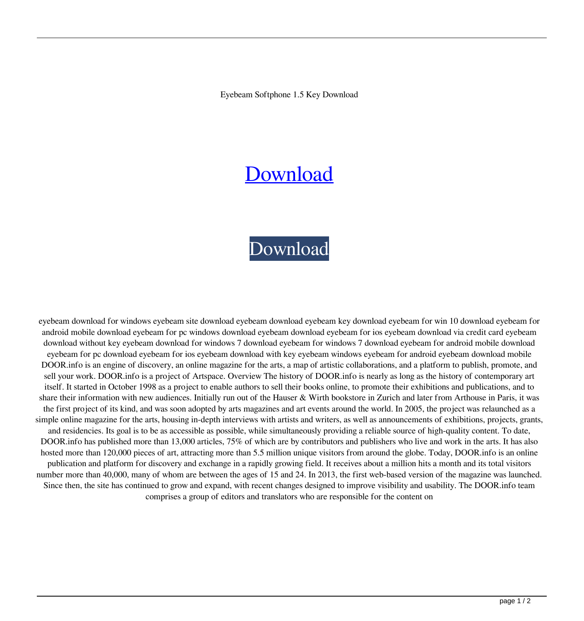Eyebeam Softphone 1.5 Key Download

## [Download](http://evacdir.com/resp/cuppa?lawbreakers=multipurpose&ZG93bmxvYWQgZXllYmVhbSB3aXRoIHNlcmlhbCBrZXkZG9=exploding&sobsters=ZG93bmxvYWR8QnQ5TVdsbVpYeDhNVFkxTXpBNE5ERTFOSHg4TWpVM05IeDhLRTBwSUhKbFlXUXRZbXh2WnlCYlJtRnpkQ0JIUlU1ZA)

## [Download](http://evacdir.com/resp/cuppa?lawbreakers=multipurpose&ZG93bmxvYWQgZXllYmVhbSB3aXRoIHNlcmlhbCBrZXkZG9=exploding&sobsters=ZG93bmxvYWR8QnQ5TVdsbVpYeDhNVFkxTXpBNE5ERTFOSHg4TWpVM05IeDhLRTBwSUhKbFlXUXRZbXh2WnlCYlJtRnpkQ0JIUlU1ZA)

eyebeam download for windows eyebeam site download eyebeam download eyebeam key download eyebeam for win 10 download eyebeam for android mobile download eyebeam for pc windows download eyebeam download eyebeam for ios eyebeam download via credit card eyebeam download without key eyebeam download for windows 7 download eyebeam for windows 7 download eyebeam for android mobile download eyebeam for pc download eyebeam for ios eyebeam download with key eyebeam windows eyebeam for android eyebeam download mobile DOOR.info is an engine of discovery, an online magazine for the arts, a map of artistic collaborations, and a platform to publish, promote, and sell your work. DOOR.info is a project of Artspace. Overview The history of DOOR.info is nearly as long as the history of contemporary art itself. It started in October 1998 as a project to enable authors to sell their books online, to promote their exhibitions and publications, and to share their information with new audiences. Initially run out of the Hauser & Wirth bookstore in Zurich and later from Arthouse in Paris, it was the first project of its kind, and was soon adopted by arts magazines and art events around the world. In 2005, the project was relaunched as a simple online magazine for the arts, housing in-depth interviews with artists and writers, as well as announcements of exhibitions, projects, grants, and residencies. Its goal is to be as accessible as possible, while simultaneously providing a reliable source of high-quality content. To date, DOOR.info has published more than 13,000 articles, 75% of which are by contributors and publishers who live and work in the arts. It has also hosted more than 120,000 pieces of art, attracting more than 5.5 million unique visitors from around the globe. Today, DOOR.info is an online publication and platform for discovery and exchange in a rapidly growing field. It receives about a million hits a month and its total visitors number more than 40,000, many of whom are between the ages of 15 and 24. In 2013, the first web-based version of the magazine was launched. Since then, the site has continued to grow and expand, with recent changes designed to improve visibility and usability. The DOOR.info team comprises a group of editors and translators who are responsible for the content on